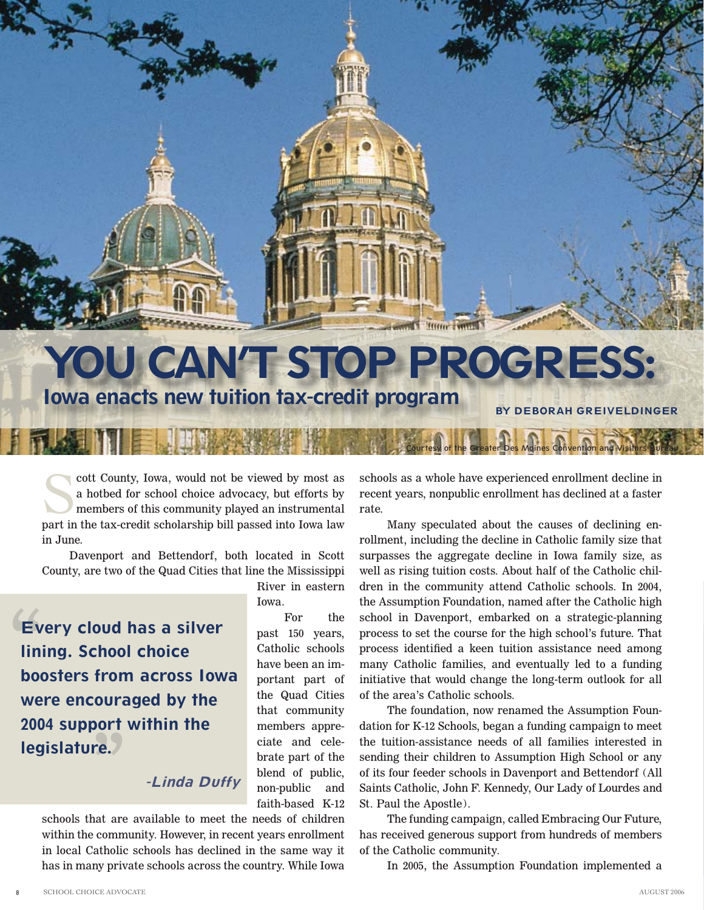

## **Iowa enacts new tuition tax-credit program BY DEBORAH GREIVELDINGER**

River in eastern

For the past 150 years, Catholic schools have been an important part of the Quad Cities that community members appreciate and celebrate part of the blend of public, non-public and faith-based K-12

Iowa.

cott County, Iowa, would not be viewed by most as<br>a hotbed for school choice advocacy, but efforts by<br>members of this community played an instrumental<br>part in the tax-credit scholarship bill passed into Iowa law a hotbed for school choice advocacy, but efforts by members of this community played an instrumental part in the tax-credit scholarship bill passed into Iowa law in June.

Davenport and Bettendorf, both located in Scott County, are two of the Quad Cities that line the Mississippi

**Ev**<br> **lini re. Every cloud has a silver lining. School choice boosters from across Iowa were encouraged by the 2004 support within the legislature.**

## **-Linda Duffy**

schools that are available to meet the needs of children within the community. However, in recent years enrollment in local Catholic schools has declined in the same way it has in many private schools across the country. While Iowa

schools as a whole have experienced enrollment decline in recent years, nonpublic enrollment has declined at a faster rate.

Courtesy of the Greater Des Moines Convention and Visitors Bureau

Many speculated about the causes of declining enrollment, including the decline in Catholic family size that surpasses the aggregate decline in Iowa family size, as well as rising tuition costs. About half of the Catholic children in the community attend Catholic schools. In 2004, the Assumption Foundation, named after the Catholic high school in Davenport, embarked on a strategic-planning process to set the course for the high school's future. That process identified a keen tuition assistance need among many Catholic families, and eventually led to a funding initiative that would change the long-term outlook for all of the area's Catholic schools.

The foundation, now renamed the Assumption Foundation for K-12 Schools, began a funding campaign to meet the tuition-assistance needs of all families interested in sending their children to Assumption High School or any of its four feeder schools in Davenport and Bettendorf (All Saints Catholic, John F. Kennedy, Our Lady of Lourdes and St. Paul the Apostle).

The funding campaign, called Embracing Our Future, has received generous support from hundreds of members of the Catholic community.

In 2005, the Assumption Foundation implemented a